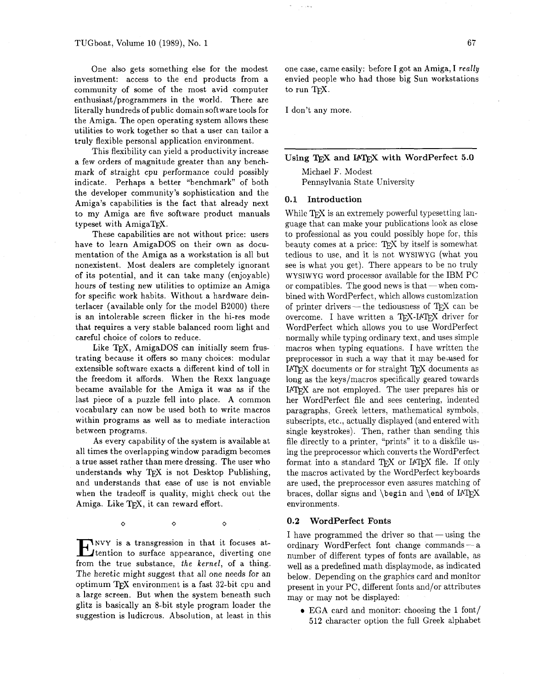One also gets something else for the modest investment: access to the end products from a community of some of the most avid computer enthusiast/programmers in the world. There are literally hundreds of public domain software tools for the Amiga. The open operating system allows these utilities to work together so that a user can tailor a truly flexible personal application environment.

This flexibility can yield a productivity increase a few orders of magnitude greater than any benchmark of straight cpu performance could possibly indicate. Perhaps a better "benchmark" of both the developer community's sophistication and the Amiga's capabilities is the fact that already next to my Amiga are five software product manuals typeset with AmigaTFX.

These capabilities are not without price: users have to learn AmigaDOS on their own as documentation of the Amiga as a workstation is all but nonexistent. Most dealers are completely ignorant of its potential, and it can take many (enjoyable) hours of testing new utilities to optimize an Amiga for specific work habits. Without a hardware deinterlacer (available only for the model B2000) there is an intolerable screen flicker in the hi-res mode that requires a very stable balanced room light and careful choice of colors to reduce.

Like  $TrX$ , AmigaDOS can initially seem frustrating because it offers so many choices: modular extensible software exacts a different kind of toll in the freedom it affords. When the Rexx language became available for the Amiga it was as if the last piece of a puzzle fell into place. A common vocabulary can now be used both to write macros within programs as well as to mediate interaction between programs.

As every capability of the system is available at all times the overlapping window paradigm becomes a true asset rather than mere dressing. The user who understands why TFX is not Desktop Publishing, and understands that ease of use is not enviable when the tradeoff is quality, might check out the Amiga. Like TEX, it can reward effort.

**ENVY** is a transgression in that it focuses at-<br>tention to surface appearance, diverting one<br>from the true substance, the hangle of a thing from the true substance, the kernel, of a thing. The heretic might suggest that all one needs for an optimum TFX environment is a fast  $32$ -bit cpu and a large screen. But when the system beneath such glitz is basically an 8-bit style program loader the

 $\Diamond$ 

 $\Diamond$ 

 $\Diamond$ 

suggestion is ludicrous. Absolution, at least in this

one case, came easily: before I got an Amiga, I really envied people who had those big Sun workstations<br>to run T<sub>E</sub>X.

I don't any more.

 $Using Tr X and IATFX with WordPerfect 5.0$ 

Michael F. Modest Pennsylvania State University

## **0.1 Introduction**

While T<sub>F</sub>X is an extremely powerful typesetting language that can make your publications look as close to professional as you could possibly hope for, this beauty comes at a price: TEX by itself is somewhat tedious to use, and it is not WYSIWYG (what you see is what you get). There appears to be no truly wysiwyG word processor available for the IBM PC<br>or compatibles. The good news is that — when combined with WordPerfect, which allows customization of printer drivers- the tediousness of  $T_F X$  can be overcome. I have written a TEX-IATEX driver for WordPerfect which allows you to use WordPerfect normally while typing ordinary text, and uses simple macros when typing equations. I have written the preprocessor in such a way that it may be assed for IATEX documents or for straight TEX documents as long as the keys/macros specifically geared towards<br>
IATEX are not employed. The user prepares his or her WordPerfect file and sees centering, indented paragraphs, Greek letters, mathematical symbols, subscripts, etc., actually displayed (and entered with single keystrokes). Then, rather than sending this file directly to a printer, "prints" it to a diskfile using the preprocessor which converts the WordPerfect<br>format into a standard T<sub>E</sub>X or I4T<sub>E</sub>X file. If only the macros activated by the WordPerfect keyboards are used, the preprocessor even assures matching of braces, dollar signs and  $\begin{array}{c}$  and  $\end{array}$ environments.

#### **0.2 WordPerfect Fonts**

I have programmed the driver so that — using the ordinary WordPerfect font change commands — a number of different types of fonts are available, as well as a predefined math displaymode, as indicated below. Depending on the graphics card and monitor present in your PC, different fonts and/or attributes may or may not be displayed:

EGA card and monitor: choosing the **1** font/ 512 character option the full Greek alphabet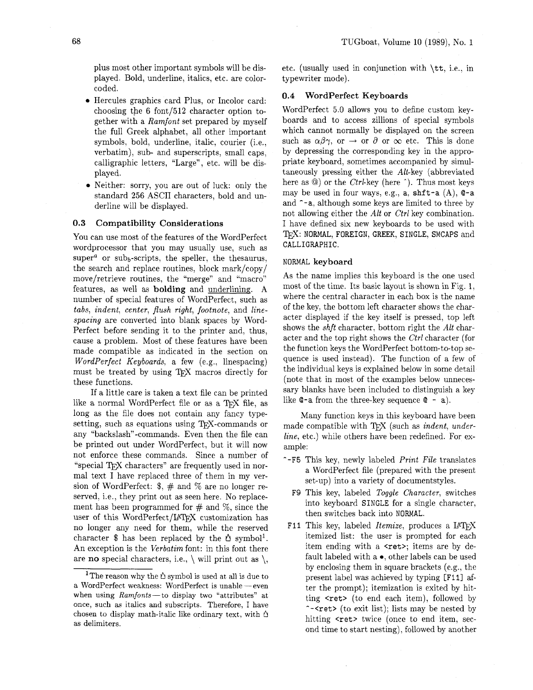plus most other important symbols will be displayed. Bold, underline, italics, etc. are colorcoded.

- Hercules graphics card Plus, or Incolor card: choosing the  $6$  font/512 character option together with a Ramfont set prepared by myself the full Greek alphabet, all other important symbols, bold, underline, italic, courier (i.e., verbatim), sub- and superscripts, small caps, calligraphic letters, "Large", etc. will be displayed.
- Neither: sorry, you are out of luck: only the standard 256 ASCII characters, bold and underline will be displayed.

#### $0.3$ **Compatibility Considerations**

You can use most of the features of the WordPerfect wordprocessor that you may usually use, such as super<sup>a</sup> or sub<sub>b</sub>-scripts, the speller, the thesaurus, the search and replace routines, block mark/copy/ move/retrieve routines, the "merge" and "macro" features, as well as **bolding** and underlining. A number of special features of WordPerfect, such as tabs, indent, center, flush right, footnote, and linespacing are converted into blank spaces by Word-Perfect before sending it to the printer and. thus, cause a problem. Most of these features have been made compatible as indicated in the section on WordPerfect Keyboards, a few (e.g., linespacing) must be treated by using TEX macros directly for these functions.

If a little care is taken a text file can be printed like a normal WordPerfect file or as a TEX file, as long as the file does not contain any fancy typesetting, such as equations using  $T_F X$ -commands or any "backslash"-commands. Even then the file can be printed out under WordPerfect, but it will now not enforce these commands. Since a number of "special TFX characters" are frequently used in normal text I have replaced three of them in my version of WordPerfect:  $\frac{1}{2}$ ,  $\frac{1}{2}$  and  $\frac{1}{2}$  are no longer reserved, i.e., they print out as seen here. No replacement has been programmed for  $\#$  and  $\%$ , since the user of this WordPerfect/IATFX customization has no longer any need for them, while the reserved character \$ has been replaced by the  $\Delta$  symbol<sup>1</sup>. An exception is the Verbatim font: in this font there are **no** special characters, i.e.,  $\setminus$  will print out as  $\setminus$ . etc. (usually used in conjunction with \tt, i.e., in typewriter mode).

## **0.4 WordPerfect Keyboards**

WordPerfect 5.0 allows you to define custom keyboards and to access zillions of special symbols which cannot normally be displayed on the screen such as  $\alpha\beta\gamma$ , or  $\rightarrow$  or  $\partial$  or  $\infty$  etc. This is done by depressing the corresponding key in the appropriate keyboard, sometimes accompanied by simultaneously pressing either the Alt-key (abbreviated here as  $\circledcirc$ ) or the *Ctrl*-key (here  $\hat{ }$ ). Thus most keys may be used in four ways, e.g.,  $a$ ,  $\text{shift-a } (A)$ ,  $\text{$\mathbb{Q}$-a}$ and ^-a, although some keys are limited to three by not allowing either the *Alt* or *Ctrl* key combination. I have defined six new keyboards to be used with TFX: NORMAL, FOREIGN, GREEK, SINGLE, SMCAPS and CALLIGRAPHIC.

#### NORMAL **keyboard**

As the name implies this keyboard is the one used most of the time. Its basic layout is shown in Fig. 1, where the central character in each box is the name of the key, the bottom left character shows the character displayed if the key itself is pressed, top left shows the shft character, bottom right the Alt character and the top right shows the Ctrl character (for the function keys the WordPerfect bottom-to-top sequence is used instead). The function of a few of the individual keys is explained below in some detail (note that in most of the examples below unnecessary blanks have been included to distinguish a key like  $Q-a$  from the three-key sequence  $Q - a$ ).

Many function keys in this keyboard have been made compatible with TFX (such as indent, underline, etc.) while others have been redefined. For example:

- **--F5** This key, newly labeled Print File translates a WordPerfect file (prepared with the present set-up) into a variety of documentstyles.
	- F9 This key, labeled Toggle Character, switches into keyboard SINGLE for a single character, then switches back into NORMAL.
- F11 This key, labeled *Itemize*, produces a IATFX itemized list: the user is prompted for each item ending with a  $\langle \text{ret} \rangle$ ; items are by default labeled with a **0,** other labels can be used by enclosing them in square brackets (e.g., the present label was achieved by typing [F111 after the prompt); itemization is exited by hitting  $\text{cret}$  (to end each item), followed by --<ret> (to exit list); lists may be nested by hitting  $\text{Set}$  twice (once to end item, second time to start nesting), followed by another

The reason why the  $\Delta$  symbol is used at all is due to a WordPerfect weakness: WordPerfect is unable - even when using Ramfonts-to display two "attributes" at once, such as italics and subscripts. Therefore, I have chosen to display math-italic like ordinary text, with  $\Delta$ as delimiters.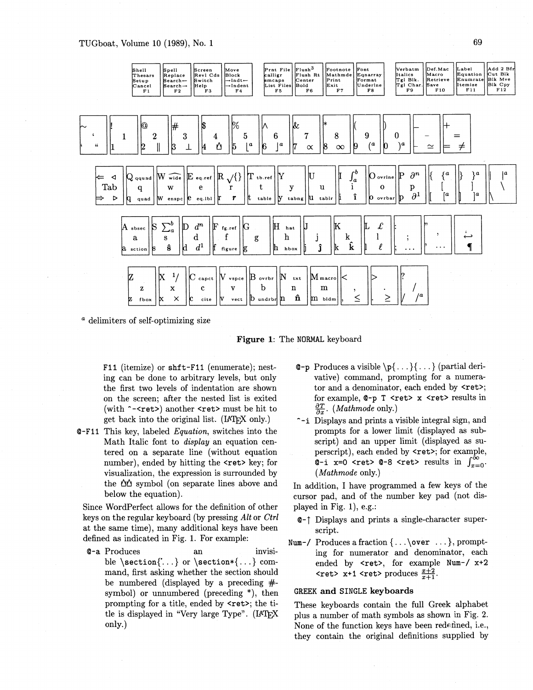

<sup>a</sup> delimiters of self-optimizing size



F11 (itemize) or shft-F11 (enumerate); nesting can be done to arbitrary levels, but only the first two levels of indentation are shown on the screen; after the nested list is exited (with ~~<ret>) another <ret> must be hit to get back into the original list. (IATFX only.)

**Q-F11** This key, labeled *Equation*, switches into the Math Italic font to *display* an equation centered on a separate line (without equation number), ended by hitting the <ret> key; for visualization, the expression is surrounded by the  $\Delta\Delta$  symbol (on separate lines above and below the equation).

Since WordPerfect allows for the definition of other keys on the regular keyboard (by pressing Alt or Ctrl at the same time), many additional keys have been defined as indicated in Fig. 1. For example:

**Q-a** Produces  $a<sub>n</sub>$ invisible \section{'...} or \section\*{...} command, first asking whether the section should be numbered (displayed by a preceding  $#$ symbol) or unnumbered (preceding  $*$ ), then prompting for a title, ended by <ret>; the title is displayed in "Very large Type". (IATEX only.)

- **C-p** Produces a visible  $\{p\}$ ... $\}$ ... $\}$  (partial derivative) command, prompting for a numerator and a denominator, each ended by <ret>; for example, @-p T <ret> x <ret> results in  $\frac{\partial T}{\partial x}$ . (*Mathmode* only.)
- ~-i Displays and prints a visible integral sign, and prompts for a lower limit (displayed as subscript) and an upper limit (displayed as superscript), each ended by <ret>; for example, Q-i x=0 <ret> Q-8 <ret> results in  $\int_{x=0}^{\infty}$ .  $(Mathmode$  only.)

In addition, I have programmed a few keys of the cursor pad, and of the number key pad (not displayed in Fig. 1), e.g.:

- **Q-1** Displays and prints a single-character superscript.
- Num-/ Produces a fraction  $\{ \ldots \}$ , prompting for numerator and denominator, each ended by <ret>, for example Num-/ x+2 **<ret>** x+1 <ret> produces  $\frac{x+2}{x+1}$ .

## **GREEK and SINGLE keyboards**

These keyboards contain the full Greek alphabet plus a number of math symbols as shown in Fig. 2. None of the function keys have been redefined, i.e., they contain the original definitions supplied by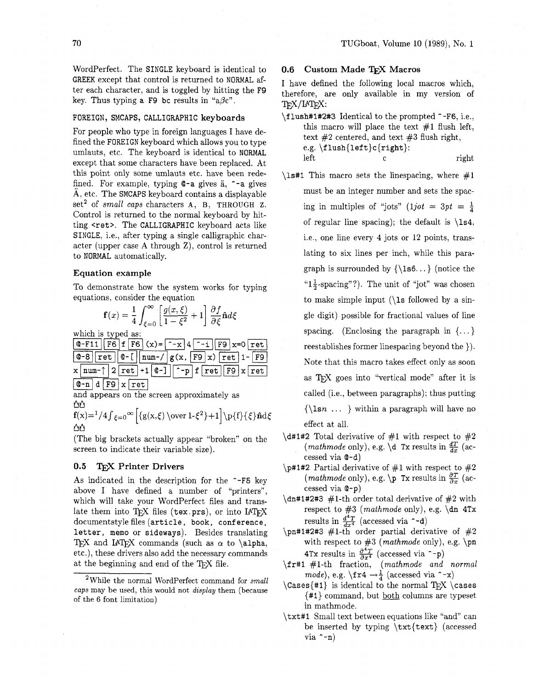WordPerfect. The SINGLE keyboard is identical to GREEK except that control is returned to NORMAL after each character, and is toggled by hitting the **F9**  key. Thus typing a **F9** bc results in " $a\beta c$ ".

## FOREIGN, SMCAPS, CALLIGRAPHIC **keyboards**

For people who type in foreign languages I have defined the FOREIGN keyboard which allows you to type umlauts, etc. The keyboard is identical to NORMAL except that some characters have been replaced. At this point only some umlauts etc. have been redefined. For example, typing  $Q-a$  gives  $a, \text{ } -a$  gives A, etc. The SMCAPS keyboard contains a displayable set<sup>2</sup> of small caps characters A, B, THROUGH Z. Control is returned to the normal keyboard by hitting <ret>. The CALLIGRAPHIC keyboard acts like SINGLE, i.e., after typing a single calligraphic character (upper case A through Z), control is returned to NORMAL automatically.

## **Equation example**

To demonstrate how the system works for typing equations, consider the equation

$$
\mathbf{f}(x) = \frac{1}{4} \int_{\xi=0}^{\infty} \left[ \frac{g(x,\xi)}{1-\xi^2} + 1 \right] \frac{\partial f}{\partial \xi} \hat{\mathbf{n}} d\xi
$$

which is typed as:

| $  0 - F11   F6   f F6   (x) = -x   4   -i   F9   x = 0$ ret        |  |  |  |
|---------------------------------------------------------------------|--|--|--|
| $\boxed{Q-8}$ ret $\boxed{Q-1}$ num-/ $\boxed{g(x, F9 x)}$ ret 1-F9 |  |  |  |
|                                                                     |  |  |  |

 $|Q-n|d|F9|x|ret$ 

and appears on the screen approximately as ΔΔ

$$
\mathbf{f}(x)=\frac{1}{4}\zeta=0^{\infty} \left\{\frac{g(x,\xi)}{\text{over }1-\xi^2}+1\right\}\p\{\f\}\{\xi\}\hat{\mathbf{n}}d\xi
$$

(The big brackets actually appear "broken" on the screen to indicate their variable size).

# **0.5 Printer Drivers**

As indicated in the description for the **--F5** key above I have defined a number of "printers", which will take your WordPerfect files and translate them into  $T_{F}X$  files (tex.prs), or into  $IAT_{F}X$ documentstyle files (article, book, conference, letter, memo or sideways). Besides translating TEX and LATEX commands (such as  $\alpha$  to \alpha, etc.), these drivers also add the necessary commands at the beginning and end of the T<sub>F</sub>X file.

## **0.6 Custom Made Macros**

**I** have defined the following local macros which, therefore, are only available in my version of TEX/IATEX:

- \f lush#l#2#3 Identical to the prompted **^-F6,** i.e., this macro will place the text  $#1$  flush left, text  $#2$  centered, and text  $#3$  flush right, e.g. \f lush{left)c{right):  $left$  c right
- $\lambda$ **s#1** This macro sets the linespacing, where  $#1$ must be an integer number and sets the spacing in multiples of "jots" (1*jot* = 3*pt* =  $\frac{1}{4}$ of regular line spacing); the default is  $\iota$ 1s4, i.e., one line every 4 jots or 12 points, translating to six lines per inch, while this paragraph is surrounded by  ${\leq}6...$  (notice the " $1\frac{1}{2}$ -spacing"?). The unit of "jot" was chosen to make simple input  $(\lambda s)$  followed by a single digit) possible for fractional values of line spacing. (Enclosing the paragraph in  $\{ \dots \}$ reestablishes former linespacing beyond the )). Note that this macro takes effect only as soon as T<sub>FX</sub> goes into "vertical mode" after it is called (i.e., between paragraphs); thus putting  $\{\lambda\$ sn ... } within a paragraph will have no effect at all.
- \d#1#2 Total derivative of #1 with respect to #2 (*mathmode* only), e.g. \d Tx results in  $\frac{dT}{dx}$  (accessed via Q-d)
- \p#1#2 Partial derivative of #I with respect to **#2**  (*mathmode* only), e.g. \p Tx results in  $\frac{\partial T}{\partial x}$  (accessed via **@-p)**
- $\dim#1#2#3$  #1-th order total derivative of #2 with respect to  $#3$  (mathmode only), e.g. \dn 4Tx results in  $\frac{d^4T}{dx^4}$  (accessed via  $-$ d)
- \pn#1#2#3 #1-th order partial derivative of #2 with respect to  $#3$  (mathmode only), e.g. \pn **4Tx** results in  $\frac{\partial^2 T}{\partial x^4}$  (accessed via  $\hat{ }$ -p)
- $\frac{f_r}{1 + 1}$  #1-th fraction, (mathmode and normal mode), e.g.  $\text{tr4} \rightarrow \frac{1}{4}$  (accessed via  $\text{-x}$ )
- $\text{Cases}$ {#1} is identical to the normal TEX  $\text{Cases}$ {#I} command, but **both** columns are typeset in mathmode.
- \txt#l Small text between equations like "and" can be inserted by typing \txt{text) (accessed via  $\hat{-n}$ )

<sup>&#</sup>x27;while the normal WordPerfect command for *small caps* may be used, this would not *display* them (because of the 6 font limitation)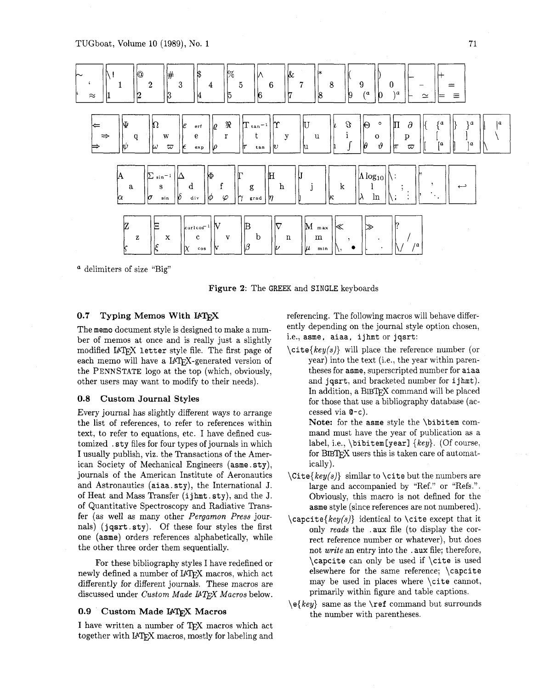

a delimiters of size "Big"

**Figure** 2: The GREEK and SINGLE keyboards

# 0.7 Typing Memos With I<sup>A</sup>T<sub>F</sub>X

The memo document style is designed to make a number of memos at once and is really just a slightly modified IATEX letter style file. The first page of each memo will have a IATFX-generated version of the PENNSTATE logo at the top (which, obviously, other users may want to modify to their needs).

# 0.8 Custom Journal Styles

Every journal has slightly different ways to arrange the list of references, to refer to references within text, to refer to equations, etc. I have defined customized . sty files for four types of journals in which I usually publish, viz. the Transactions of the American Society of Mechanical Engineers (asme. sty), journals of the American Institute of Aeronautics and Astronautics (aiaa . sty), the International J. of Heat and Mass Transfer (i j hmt . sty), and the J. of Quantitative Spectroscopy and Radiative Transfer (as well as many other Pergamon Press journals) (jqsrt . sty). Of these four styles the first one (asme) orders references alphabetically, while the other three order them sequentially.

For these bibliography styles I have redefined or newly defined a number of IATFX macros, which act differently for different journals. These macros are discussed under Custom Made I4TFX Macros below.

## 0.9 Custom Made IATFX Macros

I have written a number of TFX macros which act together with IATFX macros, mostly for labeling and referencing. The following macros will behave differently depending on the journal style option chosen, i.e., asme, aiaa, ijhmt or jqsrt:

 $\c{key(s)}$  will place the reference number (or year) into the text (i.e., the year within parentheses for asme, superscripted number for aiaa and jourt, and bracketed number for ijhmt). In addition, a BIBTFX command will be placed for those that use a bibliography database (accessed via @-c).

Note: for the asme style the \bibitem command must have the year of publication as a label, i.e.,  $\bold{b}$ ibitem [year]  $\{key\}$ . (Of course, for BIBT<sub>F</sub>X users this is taken care of automatically).

- $\langle \text{key}(s) \rangle$  similar to  $\text{title}$  but the numbers are large and accompanied by "Ref." or "Refs.". Obviously, this macro is not defined for the asme style (since references are not numbered).
- $\c{key(s)}$  identical to  $\c{key(s)}$ only reads the . aux file (to display the correct reference number or whatever), but does not write an entry into the . aux file; therefore, \capcite can only be used if \cite is used elsewhere for the same reference; \capcite may be used in places where  $\cite$  cannot, primarily within figure and table captions.
- $\{key\}$  same as the  $\ref$  command but surrounds the number with parentheses.